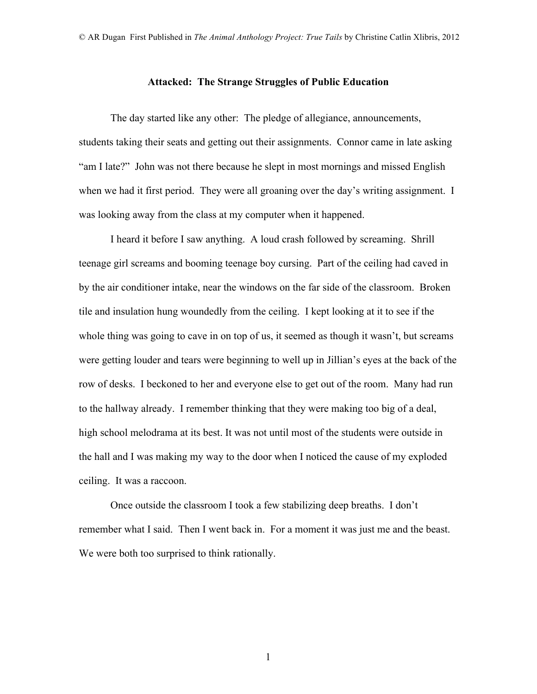## **Attacked: The Strange Struggles of Public Education**

The day started like any other: The pledge of allegiance, announcements, students taking their seats and getting out their assignments. Connor came in late asking "am I late?" John was not there because he slept in most mornings and missed English when we had it first period. They were all groaning over the day's writing assignment. I was looking away from the class at my computer when it happened.

I heard it before I saw anything. A loud crash followed by screaming. Shrill teenage girl screams and booming teenage boy cursing. Part of the ceiling had caved in by the air conditioner intake, near the windows on the far side of the classroom. Broken tile and insulation hung woundedly from the ceiling. I kept looking at it to see if the whole thing was going to cave in on top of us, it seemed as though it wasn't, but screams were getting louder and tears were beginning to well up in Jillian's eyes at the back of the row of desks. I beckoned to her and everyone else to get out of the room. Many had run to the hallway already. I remember thinking that they were making too big of a deal, high school melodrama at its best. It was not until most of the students were outside in the hall and I was making my way to the door when I noticed the cause of my exploded ceiling. It was a raccoon.

Once outside the classroom I took a few stabilizing deep breaths. I don't remember what I said. Then I went back in. For a moment it was just me and the beast. We were both too surprised to think rationally.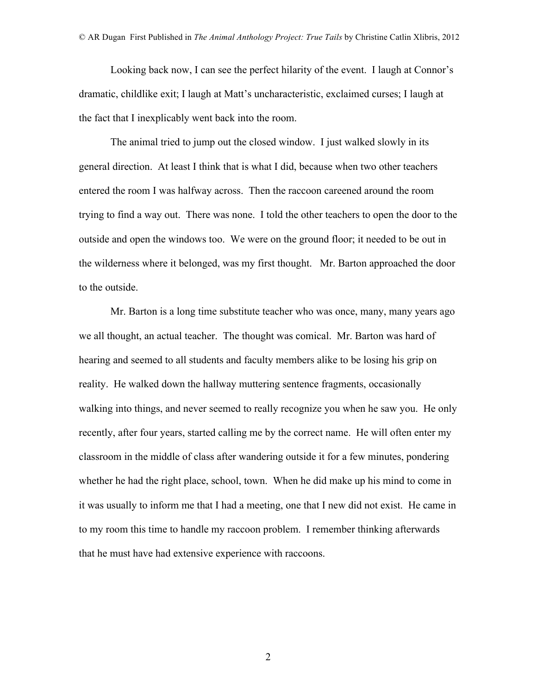Looking back now, I can see the perfect hilarity of the event. I laugh at Connor's dramatic, childlike exit; I laugh at Matt's uncharacteristic, exclaimed curses; I laugh at the fact that I inexplicably went back into the room.

The animal tried to jump out the closed window. I just walked slowly in its general direction. At least I think that is what I did, because when two other teachers entered the room I was halfway across. Then the raccoon careened around the room trying to find a way out. There was none. I told the other teachers to open the door to the outside and open the windows too. We were on the ground floor; it needed to be out in the wilderness where it belonged, was my first thought. Mr. Barton approached the door to the outside.

Mr. Barton is a long time substitute teacher who was once, many, many years ago we all thought, an actual teacher. The thought was comical. Mr. Barton was hard of hearing and seemed to all students and faculty members alike to be losing his grip on reality. He walked down the hallway muttering sentence fragments, occasionally walking into things, and never seemed to really recognize you when he saw you. He only recently, after four years, started calling me by the correct name. He will often enter my classroom in the middle of class after wandering outside it for a few minutes, pondering whether he had the right place, school, town. When he did make up his mind to come in it was usually to inform me that I had a meeting, one that I new did not exist. He came in to my room this time to handle my raccoon problem. I remember thinking afterwards that he must have had extensive experience with raccoons.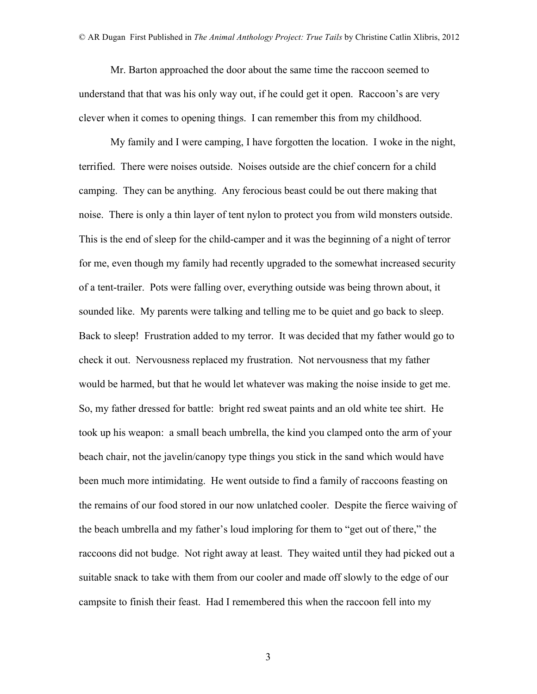Mr. Barton approached the door about the same time the raccoon seemed to understand that that was his only way out, if he could get it open. Raccoon's are very clever when it comes to opening things. I can remember this from my childhood.

My family and I were camping, I have forgotten the location. I woke in the night, terrified. There were noises outside. Noises outside are the chief concern for a child camping. They can be anything. Any ferocious beast could be out there making that noise. There is only a thin layer of tent nylon to protect you from wild monsters outside. This is the end of sleep for the child-camper and it was the beginning of a night of terror for me, even though my family had recently upgraded to the somewhat increased security of a tent-trailer. Pots were falling over, everything outside was being thrown about, it sounded like. My parents were talking and telling me to be quiet and go back to sleep. Back to sleep! Frustration added to my terror. It was decided that my father would go to check it out. Nervousness replaced my frustration. Not nervousness that my father would be harmed, but that he would let whatever was making the noise inside to get me. So, my father dressed for battle: bright red sweat paints and an old white tee shirt. He took up his weapon: a small beach umbrella, the kind you clamped onto the arm of your beach chair, not the javelin/canopy type things you stick in the sand which would have been much more intimidating. He went outside to find a family of raccoons feasting on the remains of our food stored in our now unlatched cooler. Despite the fierce waiving of the beach umbrella and my father's loud imploring for them to "get out of there," the raccoons did not budge. Not right away at least. They waited until they had picked out a suitable snack to take with them from our cooler and made off slowly to the edge of our campsite to finish their feast. Had I remembered this when the raccoon fell into my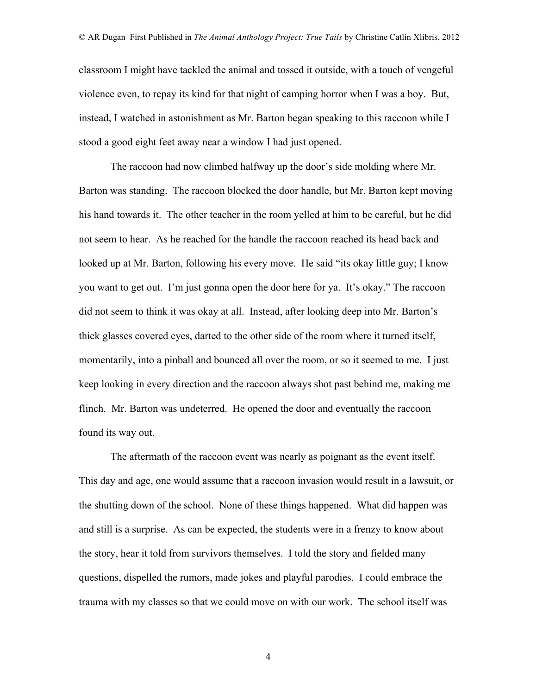classroom I might have tackled the animal and tossed it outside, with a touch of vengeful violence even, to repay its kind for that night of camping horror when I was a boy. But, instead, I watched in astonishment as Mr. Barton began speaking to this raccoon while I stood a good eight feet away near a window I had just opened.

The raccoon had now climbed halfway up the door's side molding where Mr. Barton was standing. The raccoon blocked the door handle, but Mr. Barton kept moving his hand towards it. The other teacher in the room yelled at him to be careful, but he did not seem to hear. As he reached for the handle the raccoon reached its head back and looked up at Mr. Barton, following his every move. He said "its okay little guy; I know you want to get out. I'm just gonna open the door here for ya. It's okay." The raccoon did not seem to think it was okay at all. Instead, after looking deep into Mr. Barton's thick glasses covered eyes, darted to the other side of the room where it turned itself, momentarily, into a pinball and bounced all over the room, or so it seemed to me. I just keep looking in every direction and the raccoon always shot past behind me, making me flinch. Mr. Barton was undeterred. He opened the door and eventually the raccoon found its way out.

The aftermath of the raccoon event was nearly as poignant as the event itself. This day and age, one would assume that a raccoon invasion would result in a lawsuit, or the shutting down of the school. None of these things happened. What did happen was and still is a surprise. As can be expected, the students were in a frenzy to know about the story, hear it told from survivors themselves. I told the story and fielded many questions, dispelled the rumors, made jokes and playful parodies. I could embrace the trauma with my classes so that we could move on with our work. The school itself was